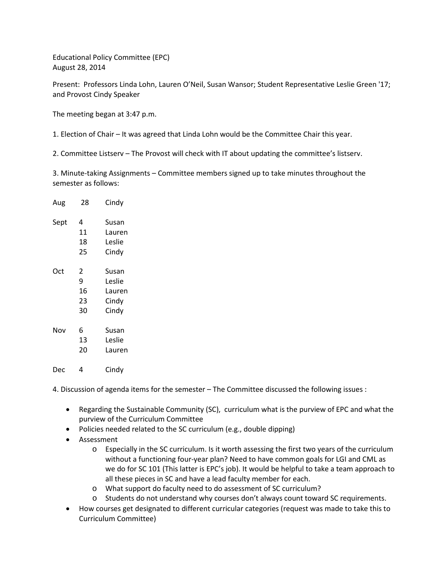Educational Policy Committee (EPC) August 28, 2014

Present: Professors Linda Lohn, Lauren O'Neil, Susan Wansor; Student Representative Leslie Green '17; and Provost Cindy Speaker

The meeting began at 3:47 p.m.

1. Election of Chair – It was agreed that Linda Lohn would be the Committee Chair this year.

2. Committee Listserv – The Provost will check with IT about updating the committee's listserv.

3. Minute-taking Assignments – Committee members signed up to take minutes throughout the semester as follows:

| Aug  | 28 | Cindy  |
|------|----|--------|
| Sept | 4  | Susan  |
|      | 11 | Lauren |
|      | 18 | Leslie |
|      | 25 | Cindy  |
| Oct  | 2  | Susan  |
|      | 9  | Leslie |
|      | 16 | Lauren |
|      | 23 | Cindy  |
|      | 30 | Cindy  |
| Nov  | 6  | Susan  |
|      | 13 | Leslie |
|      | 20 | Lauren |
| Dec  | 4  | Cindv  |

4. Discussion of agenda items for the semester – The Committee discussed the following issues :

- Regarding the Sustainable Community (SC), curriculum what is the purview of EPC and what the purview of the Curriculum Committee
- Policies needed related to the SC curriculum (e.g., double dipping)
- Assessment
	- o Especially in the SC curriculum. Is it worth assessing the first two years of the curriculum without a functioning four-year plan? Need to have common goals for LGI and CML as we do for SC 101 (This latter is EPC's job). It would be helpful to take a team approach to all these pieces in SC and have a lead faculty member for each.
	- o What support do faculty need to do assessment of SC curriculum?
	- o Students do not understand why courses don't always count toward SC requirements.
- How courses get designated to different curricular categories (request was made to take this to Curriculum Committee)